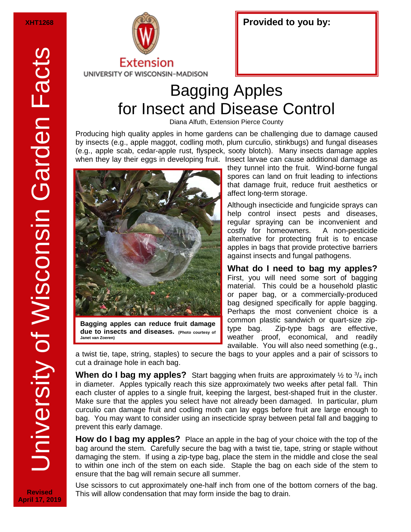

## Bagging Apples for Insect and Disease Control

Diana Alfuth, Extension Pierce County

Producing high quality apples in home gardens can be challenging due to damage caused by insects (e.g., apple maggot, codling moth, plum curculio, stinkbugs) and fungal diseases (e.g., apple scab, cedar-apple rust, flyspeck, sooty blotch). Many insects damage apples when they lay their eggs in developing fruit. Insect larvae can cause additional damage as



**Bagging apples can reduce fruit damage due to insects and diseases. (Photo courtesy of Janet van Zoeren)**

they tunnel into the fruit. Wind-borne fungal spores can land on fruit leading to infections that damage fruit, reduce fruit aesthetics or affect long-term storage.

Although insecticide and fungicide sprays can help control insect pests and diseases, regular spraying can be inconvenient and costly for homeowners. A non-pesticide alternative for protecting fruit is to encase apples in bags that provide protective barriers against insects and fungal pathogens.

**What do I need to bag my apples?**  First, you will need some sort of bagging material. This could be a household plastic or paper bag, or a commercially-produced bag designed specifically for apple bagging. Perhaps the most convenient choice is a common plastic sandwich or quart-size ziptype bag. Zip-type bags are effective, weather proof, economical, and readily available. You will also need something (e.g.,

a twist tie, tape, string, staples) to secure the bags to your apples and a pair of scissors to cut a drainage hole in each bag.

**When do I bag my apples?** Start bagging when fruits are approximately 1/2 to 3/<sub>4</sub> inch in diameter. Apples typically reach this size approximately two weeks after petal fall. Thin each cluster of apples to a single fruit, keeping the largest, best-shaped fruit in the cluster. Make sure that the apples you select have not already been damaged. In particular, plum curculio can damage fruit and codling moth can lay eggs before fruit are large enough to bag. You may want to consider using an insecticide spray between petal fall and bagging to prevent this early damage.

**How do I bag my apples?** Place an apple in the bag of your choice with the top of the bag around the stem. Carefully secure the bag with a twist tie, tape, string or staple without damaging the stem. If using a zip-type bag, place the stem in the middle and close the seal to within one inch of the stem on each side. Staple the bag on each side of the stem to ensure that the bag will remain secure all summer.

Use scissors to cut approximately one-half inch from one of the bottom corners of the bag. This will allow condensation that may form inside the bag to drain.

**Revised April 17, 2019**